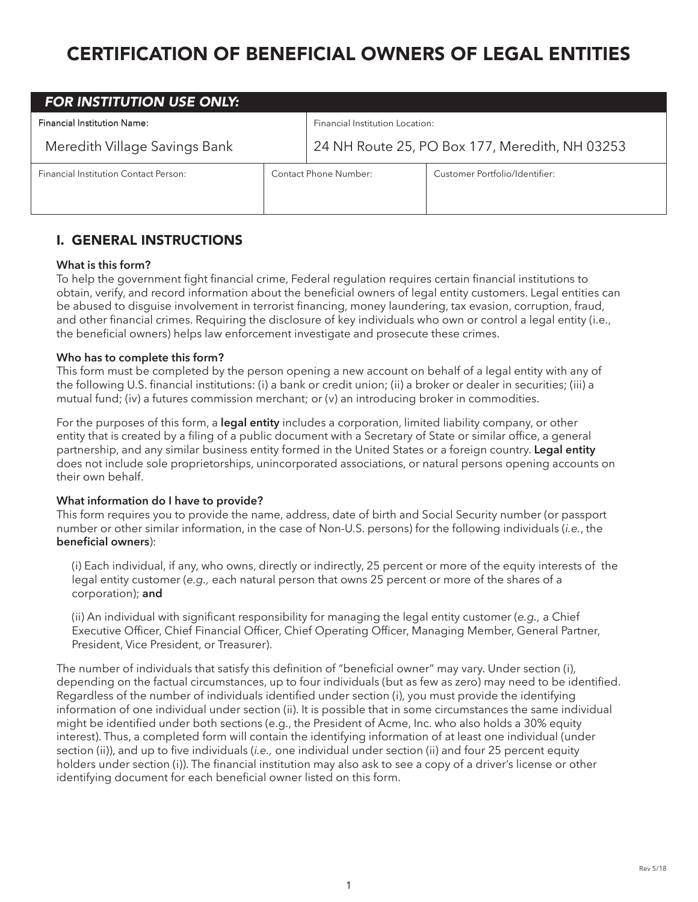# CERTIFICATION OF BENEFICIAL OWNERS OF LEGAL ENTITIES

| <b>FOR INSTITUTION USE ONLY:</b>             |                       |                                                |                                |  |  |
|----------------------------------------------|-----------------------|------------------------------------------------|--------------------------------|--|--|
| <b>Financial Institution Name:</b>           |                       | Financial Institution Location:                |                                |  |  |
| Meredith Village Savings Bank                |                       | 24 NH Route 25, PO Box 177, Meredith, NH 03253 |                                |  |  |
| <b>Financial Institution Contact Person:</b> | Contact Phone Number: |                                                | Customer Portfolio/Identifier: |  |  |

## I. GENERAL INSTRUCTIONS

#### **What is this form?**

To help the government fight financial crime, Federal regulation requires certain financial institutions to obtain, verify, and record information about the beneficial owners of legal entity customers. Legal entities can be abused to disguise involvement in terrorist financing, money laundering, tax evasion, corruption, fraud, and other financial crimes. Requiring the disclosure of key individuals who own or control a legal entity (i.e., the beneficial owners) helps law enforcement investigate and prosecute these crimes.

### **Who has to complete this form?**

This form must be completed by the person opening a new account on behalf of a legal entity with any of the following U.S. financial institutions: (i) a bank or credit union; (ii) a broker or dealer in securities; (iii) a mutual fund; (iv) a futures commission merchant; or (v) an introducing broker in commodities.

For the purposes of this form, a **legal entity** includes a corporation, limited liability company, or other entity that is created by a filing of a public document with a Secretary of State or similar office, a general partnership, and any similar business entity formed in the United States or a foreign country. **Legal entity** does not include sole proprietorships, unincorporated associations, or natural persons opening accounts on their own behalf.

## **What information do I have to provide?**

This form requires you to provide the name, address, date of birth and Social Security number (or passport number or other similar information, in the case of Non-U.S. persons) for the following individuals (*i.e.*, the **beneficial owners**):

(i) Each individual, if any, who owns, directly or indirectly, 25 percent or more of the equity interests of the legal entity customer (*e.g.,* each natural person that owns 25 percent or more of the shares of a corporation); **and**

(ii) An individual with significant responsibility for managing the legal entity customer (*e.g.,* a Chief Executive Officer, Chief Financial Officer, Chief Operating Officer, Managing Member, General Partner, President, Vice President, or Treasurer).

The number of individuals that satisfy this definition of "beneficial owner" may vary. Under section (i), depending on the factual circumstances, up to four individuals (but as few as zero) may need to be identified. Regardless of the number of individuals identified under section (i), you must provide the identifying information of one individual under section (ii). It is possible that in some circumstances the same individual might be identified under both sections (e.g., the President of Acme, Inc. who also holds a 30% equity interest). Thus, a completed form will contain the identifying information of at least one individual (under section (ii)), and up to five individuals (*i.e.,* one individual under section (ii) and four 25 percent equity holders under section (i)). The financial institution may also ask to see a copy of a driver's license or other identifying document for each beneficial owner listed on this form.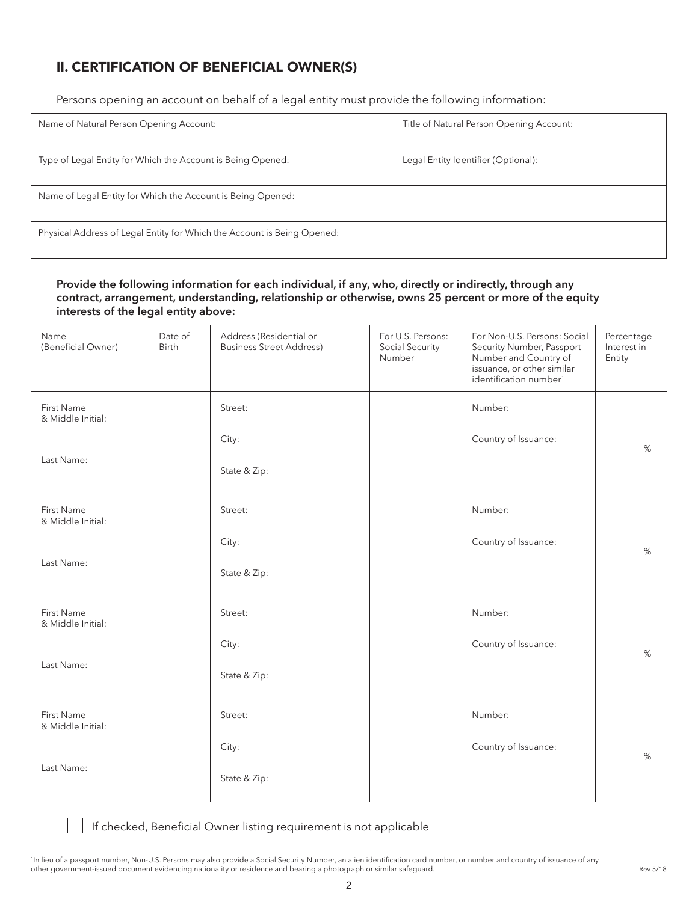# II. CERTIFICATION OF BENEFICIAL OWNER(S)

Persons opening an account on behalf of a legal entity must provide the following information:

| Name of Natural Person Opening Account:                                 | Title of Natural Person Opening Account: |  |  |  |
|-------------------------------------------------------------------------|------------------------------------------|--|--|--|
| Type of Legal Entity for Which the Account is Being Opened:             | Legal Entity Identifier (Optional):      |  |  |  |
| Name of Legal Entity for Which the Account is Being Opened:             |                                          |  |  |  |
| Physical Address of Legal Entity for Which the Account is Being Opened: |                                          |  |  |  |

## **Provide the following information for each individual, if any, who, directly or indirectly, through any contract, arrangement, understanding, relationship or otherwise, owns 25 percent or more of the equity interests of the legal entity above:**

| Name<br>(Beneficial Owner)             | Date of<br><b>Birth</b> | Address (Residential or<br><b>Business Street Address)</b> | For U.S. Persons:<br>Social Security<br>Number | For Non-U.S. Persons: Social<br>Security Number, Passport<br>Number and Country of<br>issuance, or other similar<br>identification number <sup>1</sup> | Percentage<br>Interest in<br>Entity |
|----------------------------------------|-------------------------|------------------------------------------------------------|------------------------------------------------|--------------------------------------------------------------------------------------------------------------------------------------------------------|-------------------------------------|
| <b>First Name</b><br>& Middle Initial: |                         | Street:                                                    |                                                | Number:                                                                                                                                                |                                     |
|                                        |                         | City:                                                      |                                                | Country of Issuance:                                                                                                                                   | %                                   |
| Last Name:                             |                         | State & Zip:                                               |                                                |                                                                                                                                                        |                                     |
| <b>First Name</b><br>& Middle Initial: |                         | Street:                                                    |                                                | Number:                                                                                                                                                |                                     |
|                                        |                         | City:                                                      |                                                | Country of Issuance:                                                                                                                                   | %                                   |
| Last Name:                             |                         | State & Zip:                                               |                                                |                                                                                                                                                        |                                     |
| <b>First Name</b><br>& Middle Initial: |                         | Street:                                                    |                                                | Number:                                                                                                                                                |                                     |
|                                        |                         | City:                                                      |                                                | Country of Issuance:                                                                                                                                   | %                                   |
| Last Name:                             |                         | State & Zip:                                               |                                                |                                                                                                                                                        |                                     |
| First Name<br>& Middle Initial:        |                         | Street:                                                    |                                                | Number:                                                                                                                                                |                                     |
|                                        |                         | City:                                                      |                                                | Country of Issuance:                                                                                                                                   | %                                   |
| Last Name:                             |                         | State & Zip:                                               |                                                |                                                                                                                                                        |                                     |

If checked, Beneficial Owner listing requirement is not applicable